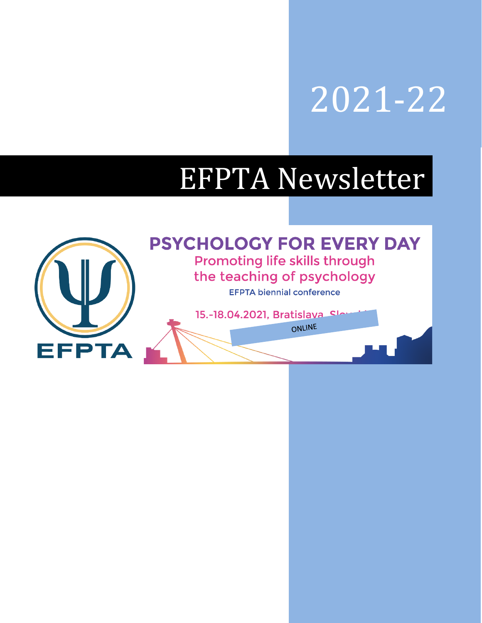## 2021-22

# EFPTA Newsletter

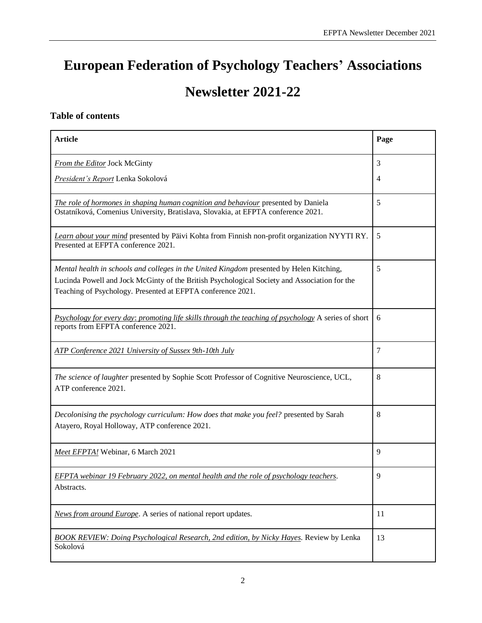## **European Federation of Psychology Teachers' Associations**

## **Newsletter 2021-22**

#### **Table of contents**

| <b>Article</b>                                                                                                                                                                                                                                          | Page                |
|---------------------------------------------------------------------------------------------------------------------------------------------------------------------------------------------------------------------------------------------------------|---------------------|
| From the Editor Jock McGinty<br>President's Report Lenka Sokolová                                                                                                                                                                                       | 3<br>$\overline{4}$ |
| The role of hormones in shaping human cognition and behaviour presented by Daniela<br>Ostatníková, Comenius University, Bratislava, Slovakia, at EFPTA conference 2021.                                                                                 | 5                   |
| Learn about your mind presented by Päivi Kohta from Finnish non-profit organization NYYTI RY.<br>Presented at EFPTA conference 2021.                                                                                                                    | 5                   |
| Mental health in schools and colleges in the United Kingdom presented by Helen Kitching,<br>Lucinda Powell and Jock McGinty of the British Psychological Society and Association for the<br>Teaching of Psychology. Presented at EFPTA conference 2021. | 5                   |
| Psychology for every day: promoting life skills through the teaching of psychology A series of short<br>reports from EFPTA conference 2021.                                                                                                             | 6                   |
| ATP Conference 2021 University of Sussex 9th-10th July                                                                                                                                                                                                  | 7                   |
| The science of laughter presented by Sophie Scott Professor of Cognitive Neuroscience, UCL,<br>ATP conference 2021.                                                                                                                                     | 8                   |
| Decolonising the psychology curriculum: How does that make you feel? presented by Sarah<br>Atayero, Royal Holloway, ATP conference 2021.                                                                                                                | 8                   |
| Meet EFPTA! Webinar, 6 March 2021                                                                                                                                                                                                                       | 9                   |
| <b>EFPTA</b> webinar 19 February 2022, on mental health and the role of psychology teachers.<br>Abstracts.                                                                                                                                              | 9                   |
| News from around Europe. A series of national report updates.                                                                                                                                                                                           | 11                  |
| <b>BOOK REVIEW: Doing Psychological Research, 2nd edition, by Nicky Hayes. Review by Lenka</b><br>Sokolová                                                                                                                                              | 13                  |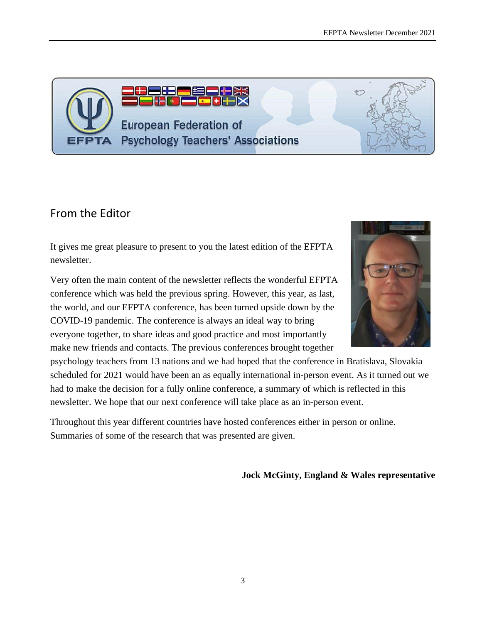<span id="page-2-0"></span>From the Editor

It gives me great pleasure to present to you the latest edition of the EFPTA newsletter.

143

**European Federation of** 

**Psychology Teachers' Associations** 

Very often the main content of the newsletter reflects the wonderful EFPTA conference which was held the previous spring. However, this year, as last, the world, and our EFPTA conference, has been turned upside down by the COVID-19 pandemic. The conference is always an ideal way to bring everyone together, to share ideas and good practice and most importantly make new friends and contacts. The previous conferences brought together

psychology teachers from 13 nations and we had hoped that the conference in Bratislava, Slovakia scheduled for 2021 would have been an as equally international in-person event. As it turned out we had to make the decision for a fully online conference, a summary of which is reflected in this newsletter. We hope that our next conference will take place as an in-person event.

Throughout this year different countries have hosted conferences either in person or online. Summaries of some of the research that was presented are given.

**Jock McGinty, England & Wales representative**





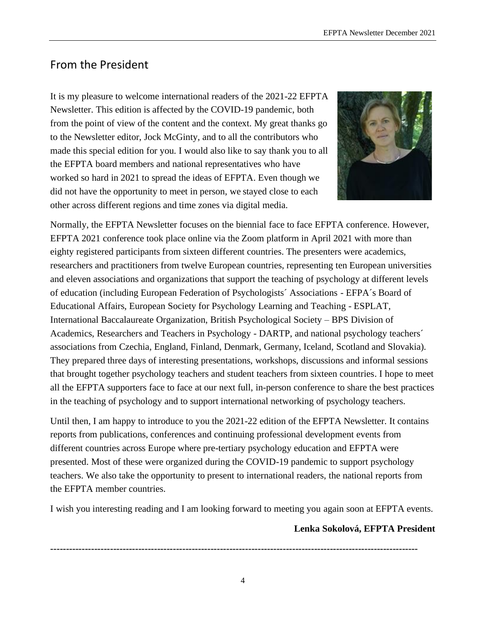## <span id="page-3-0"></span>From the President

It is my pleasure to welcome international readers of the 2021-22 EFPTA Newsletter. This edition is affected by the COVID-19 pandemic, both from the point of view of the content and the context. My great thanks go to the Newsletter editor, Jock McGinty, and to all the contributors who made this special edition for you. I would also like to say thank you to all the EFPTA board members and national representatives who have worked so hard in 2021 to spread the ideas of EFPTA. Even though we did not have the opportunity to meet in person, we stayed close to each other across different regions and time zones via digital media.



Normally, the EFPTA Newsletter focuses on the biennial face to face EFPTA conference. However, EFPTA 2021 conference took place online via the Zoom platform in April 2021 with more than eighty registered participants from sixteen different countries. The presenters were academics, researchers and practitioners from twelve European countries, representing ten European universities and eleven associations and organizations that support the teaching of psychology at different levels of education (including European Federation of Psychologists´ Associations - EFPA´s Board of Educational Affairs, European Society for Psychology Learning and Teaching - ESPLAT, International Baccalaureate Organization, British Psychological Society – BPS Division of Academics, Researchers and Teachers in Psychology - DARTP, and national psychology teachers´ associations from Czechia, England, Finland, Denmark, Germany, Iceland, Scotland and Slovakia). They prepared three days of interesting presentations, workshops, discussions and informal sessions that brought together psychology teachers and student teachers from sixteen countries. I hope to meet all the EFPTA supporters face to face at our next full, in-person conference to share the best practices in the teaching of psychology and to support international networking of psychology teachers.

Until then, I am happy to introduce to you the 2021-22 edition of the EFPTA Newsletter. It contains reports from publications, conferences and continuing professional development events from different countries across Europe where pre-tertiary psychology education and EFPTA were presented. Most of these were organized during the COVID-19 pandemic to support psychology teachers. We also take the opportunity to present to international readers, the national reports from the EFPTA member countries.

I wish you interesting reading and I am looking forward to meeting you again soon at EFPTA events.

#### **Lenka Sokolová, EFPTA President**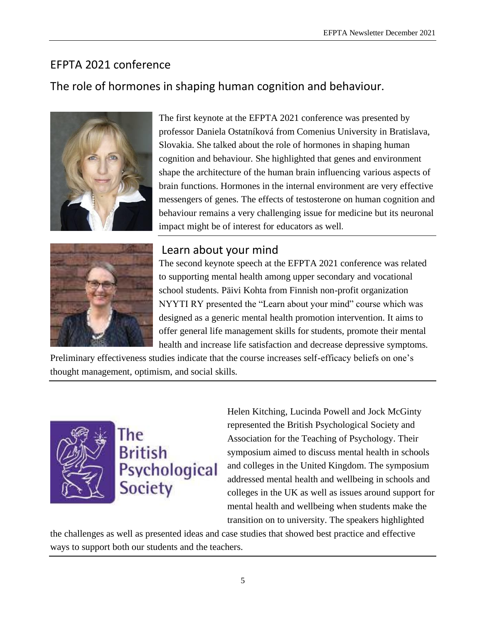## <span id="page-4-2"></span>EFPTA 2021 conference

## <span id="page-4-0"></span>The role of hormones in shaping human cognition and behaviour.



The first keynote at the EFPTA 2021 conference was presented by professor Daniela Ostatníková from Comenius University in Bratislava, Slovakia. She talked about the role of hormones in shaping human cognition and behaviour. She highlighted that genes and environment shape the architecture of the human brain influencing various aspects of brain functions. Hormones in the internal environment are very effective messengers of genes. The effects of testosterone on human cognition and behaviour remains a very challenging issue for medicine but its neuronal impact might be of interest for educators as well.



## Learn about your mind

<span id="page-4-1"></span>The second keynote speech at the EFPTA 2021 conference was related to supporting mental health among upper secondary and vocational school students. Päivi Kohta from Finnish non-profit organization NYYTI RY presented the "Learn about your mind" course which was designed as a generic mental health promotion intervention. It aims to offer general life management skills for students, promote their mental health and increase life satisfaction and decrease depressive symptoms.

Preliminary effectiveness studies indicate that the course increases self-efficacy beliefs on one's thought management, optimism, and social skills.



## The **British** Psychological **Society**

Helen Kitching, Lucinda Powell and Jock McGinty represented the British Psychological Society and Association for the Teaching of Psychology. Their symposium aimed to discuss mental health in schools and colleges in the United Kingdom. The symposium addressed mental health and wellbeing in schools and colleges in the UK as well as issues around support for mental health and wellbeing when students make the transition on to university. The speakers highlighted

the challenges as well as presented ideas and case studies that showed best practice and effective ways to support both our students and the teachers.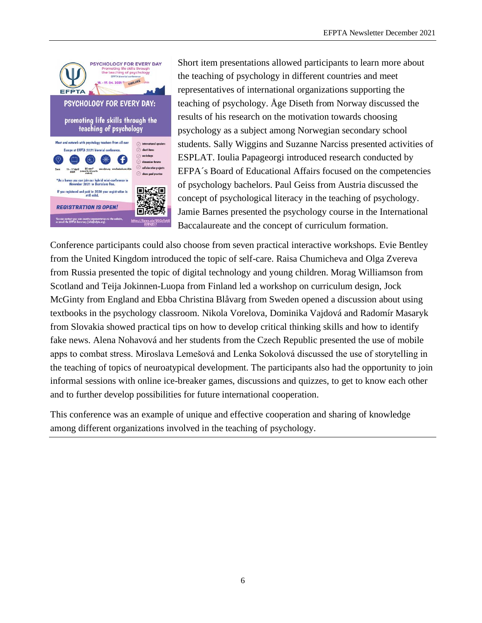

Short item presentations allowed participants to learn more about the teaching of psychology in different countries and meet representatives of international organizations supporting the teaching of psychology. Åge Diseth from Norway discussed the results of his research on the motivation towards choosing psychology as a subject among Norwegian secondary school students. Sally Wiggins and Suzanne Narciss presented activities of ESPLAT. Ioulia Papageorgi introduced research conducted by EFPA´s Board of Educational Affairs focused on the competencies of psychology bachelors. Paul Geiss from Austria discussed the concept of psychological literacy in the teaching of psychology. Jamie Barnes presented the psychology course in the International Baccalaureate and the concept of curriculum formation.

Conference participants could also choose from seven practical interactive workshops. Evie Bentley from the United Kingdom introduced the topic of self-care. Raisa Chumicheva and Olga Zvereva from Russia presented the topic of digital technology and young children. Morag Williamson from Scotland and Teija Jokinnen-Luopa from Finland led a workshop on curriculum design, Jock McGinty from England and Ebba Christina Blåvarg from Sweden opened a discussion about using textbooks in the psychology classroom. Nikola Vorelova, Dominika Vajdová and Radomír Masaryk from Slovakia showed practical tips on how to develop critical thinking skills and how to identify fake news. Alena Nohavová and her students from the Czech Republic presented the use of mobile apps to combat stress. Miroslava Lemešová and Lenka Sokolová discussed the use of storytelling in the teaching of topics of neuroatypical development. The participants also had the opportunity to join informal sessions with online ice-breaker games, discussions and quizzes, to get to know each other and to further develop possibilities for future international cooperation.

This conference was an example of unique and effective cooperation and sharing of knowledge among different organizations involved in the teaching of psychology.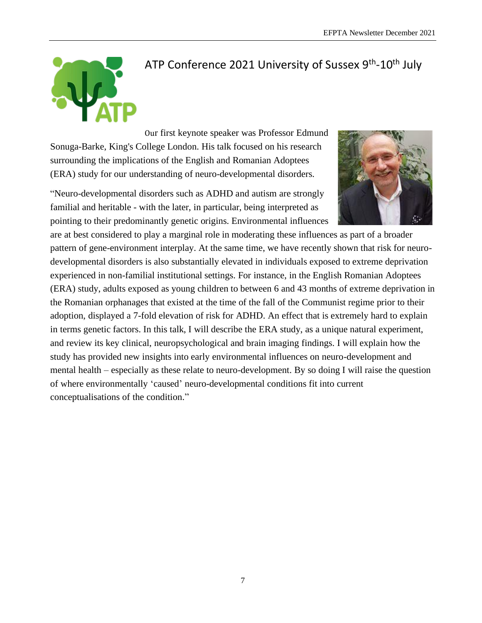

## <span id="page-6-0"></span>ATP Conference 2021 University of Sussex 9<sup>th</sup>-10<sup>th</sup> July

Our first keynote speaker was Professor Edmund Sonuga-Barke, King's College London. His talk focused on his research surrounding the implications of the English and Romanian Adoptees (ERA) study for our understanding of neuro-developmental disorders.

"Neuro-developmental disorders such as ADHD and autism are strongly familial and heritable - with the later, in particular, being interpreted as pointing to their predominantly genetic origins. Environmental influences



are at best considered to play a marginal role in moderating these influences as part of a broader pattern of gene-environment interplay. At the same time, we have recently shown that risk for neurodevelopmental disorders is also substantially elevated in individuals exposed to extreme deprivation experienced in non-familial institutional settings. For instance, in the English Romanian Adoptees (ERA) study, adults exposed as young children to between 6 and 43 months of extreme deprivation in the Romanian orphanages that existed at the time of the fall of the Communist regime prior to their adoption, displayed a 7-fold elevation of risk for ADHD. An effect that is extremely hard to explain in terms genetic factors. In this talk, I will describe the ERA study, as a unique natural experiment, and review its key clinical, neuropsychological and brain imaging findings. I will explain how the study has provided new insights into early environmental influences on neuro-development and mental health – especially as these relate to neuro-development. By so doing I will raise the question of where environmentally 'caused' neuro-developmental conditions fit into current conceptualisations of the condition."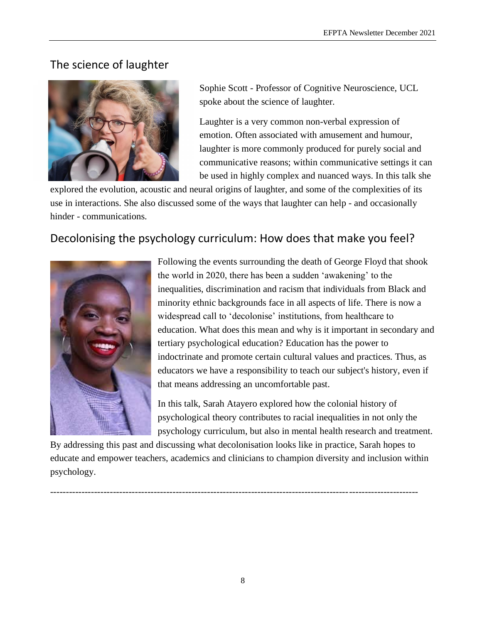## The science of laughter



Sophie Scott - Professor of Cognitive Neuroscience, UCL spoke about the science of laughter.

Laughter is a very common non-verbal expression of emotion. Often associated with amusement and humour, laughter is more commonly produced for purely social and communicative reasons; within communicative settings it can be used in highly complex and nuanced ways. In this talk she

explored the evolution, acoustic and neural origins of laughter, and some of the complexities of its use in interactions. She also discussed some of the ways that laughter can help - and occasionally hinder - communications.

## Decolonising the psychology curriculum: How does that make you feel?



Following the events surrounding the death of George Floyd that shook the world in 2020, there has been a sudden 'awakening' to the inequalities, discrimination and racism that individuals from Black and minority ethnic backgrounds face in all aspects of life. There is now a widespread call to 'decolonise' institutions, from healthcare to education. What does this mean and why is it important in secondary and tertiary psychological education? Education has the power to indoctrinate and promote certain cultural values and practices. Thus, as educators we have a responsibility to teach our subject's history, even if that means addressing an uncomfortable past.

In this talk, Sarah Atayero explored how the colonial history of psychological theory contributes to racial inequalities in not only the psychology curriculum, but also in mental health research and treatment.

By addressing this past and discussing what decolonisation looks like in practice, Sarah hopes to educate and empower teachers, academics and clinicians to champion diversity and inclusion within psychology.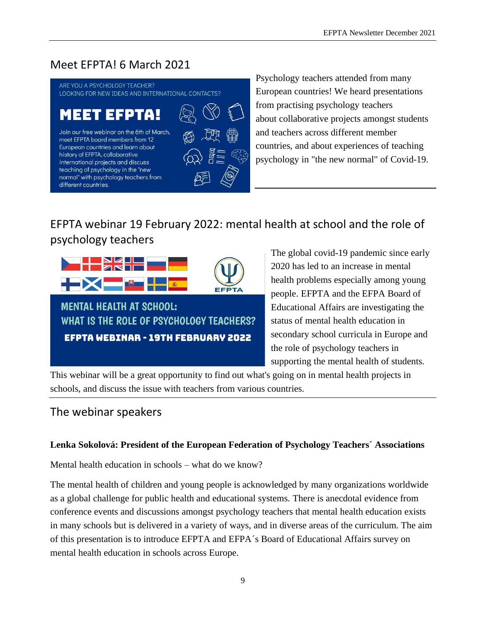## <span id="page-8-0"></span>Meet EFPTA! 6 March 2021

ARE YOU A PSYCHOLOGY TEACHER? LOOKING FOR NEW IDEAS AND INTERNATIONAL CONTACTS?

Join our free webinar on the 6th of March,

meet EFPTA board members from 12 European countries and learn about history of EFPTA, collaborative international projects and discuss teaching of psychology in the "new normal" with psychology teachers from different countries.



Psychology teachers attended from many European countries! We heard presentations from practising psychology teachers about collaborative projects amongst students and teachers across different member countries, and about experiences of teaching psychology in "the new normal" of Covid-19.

## EFPTA webinar 19 February 2022: mental health at school and the role of psychology teachers



EFPTA WEBINAR - 19TH FEBRUARY 2022

The global covid-19 pandemic since early 2020 has led to an increase in mental health problems especially among young people. EFPTA and the EFPA Board of Educational Affairs are investigating the status of mental health education in secondary school curricula in Europe and the role of psychology teachers in supporting the mental health of students.

This webinar will be a great opportunity to find out what's going on in mental health projects in schools, and discuss the issue with teachers from various countries.

## <span id="page-8-1"></span>The webinar speakers

#### **Lenka Sokolová: President of the European Federation of Psychology Teachers´ Associations**

Mental health education in schools – what do we know?

The mental health of children and young people is acknowledged by many organizations worldwide as a global challenge for public health and educational systems. There is anecdotal evidence from conference events and discussions amongst psychology teachers that mental health education exists in many schools but is delivered in a variety of ways, and in diverse areas of the curriculum. The aim of this presentation is to introduce EFPTA and EFPA´s Board of Educational Affairs survey on mental health education in schools across Europe.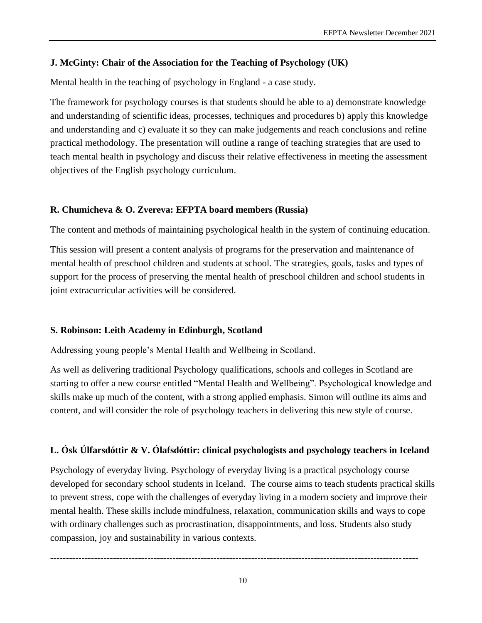#### **J. McGinty: Chair of the Association for the Teaching of Psychology (UK)**

Mental health in the teaching of psychology in England - a case study.

The framework for psychology courses is that students should be able to a) demonstrate knowledge and understanding of scientific ideas, processes, techniques and procedures b) apply this knowledge and understanding and c) evaluate it so they can make judgements and reach conclusions and refine practical methodology. The presentation will outline a range of teaching strategies that are used to teach mental health in psychology and discuss their relative effectiveness in meeting the assessment objectives of the English psychology curriculum.

#### **R. Chumicheva & O. Zvereva: EFPTA board members (Russia)**

The content and methods of maintaining psychological health in the system of continuing education.

This session will present a content analysis of programs for the preservation and maintenance of mental health of preschool children and students at school. The strategies, goals, tasks and types of support for the process of preserving the mental health of preschool children and school students in joint extracurricular activities will be considered.

#### **S. Robinson: Leith Academy in Edinburgh, Scotland**

Addressing young people's Mental Health and Wellbeing in Scotland.

As well as delivering traditional Psychology qualifications, schools and colleges in Scotland are starting to offer a new course entitled "Mental Health and Wellbeing". Psychological knowledge and skills make up much of the content, with a strong applied emphasis. Simon will outline its aims and content, and will consider the role of psychology teachers in delivering this new style of course.

#### **L. Ósk Úlfarsdóttir & V. Ólafsdóttir: clinical psychologists and psychology teachers in Iceland**

Psychology of everyday living. Psychology of everyday living is a practical psychology course developed for secondary school students in Iceland. The course aims to teach students practical skills to prevent stress, cope with the challenges of everyday living in a modern society and improve their mental health. These skills include mindfulness, relaxation, communication skills and ways to cope with ordinary challenges such as procrastination, disappointments, and loss. Students also study compassion, joy and sustainability in various contexts.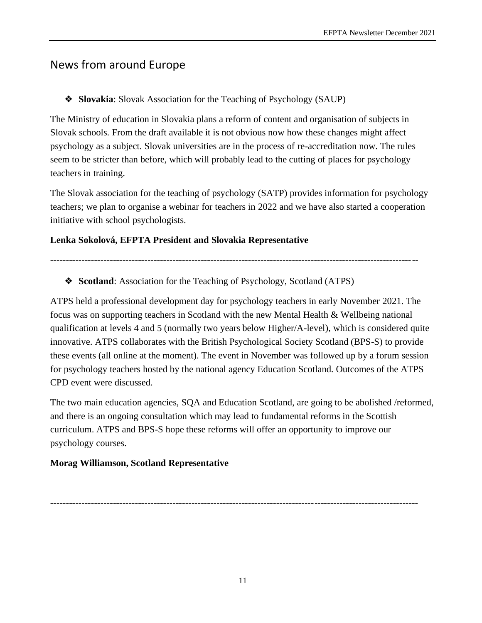## <span id="page-10-0"></span>News from around Europe

#### ❖ **Slovakia**: Slovak Association for the Teaching of Psychology (SAUP)

The Ministry of education in Slovakia plans a reform of content and organisation of subjects in Slovak schools. From the draft available it is not obvious now how these changes might affect psychology as a subject. Slovak universities are in the process of re-accreditation now. The rules seem to be stricter than before, which will probably lead to the cutting of places for psychology teachers in training.

The Slovak association for the teaching of psychology (SATP) provides information for psychology teachers; we plan to organise a webinar for teachers in 2022 and we have also started a cooperation initiative with school psychologists.

#### **Lenka Sokolová, EFPTA President and Slovakia Representative**

---------------------------------------------------------------------------------------------------------------------

❖ **Scotland**: Association for the Teaching of Psychology, Scotland (ATPS)

ATPS held a professional development day for psychology teachers in early November 2021. The focus was on supporting teachers in Scotland with the new Mental Health & Wellbeing national qualification at levels 4 and 5 (normally two years below Higher/A-level), which is considered quite innovative. ATPS collaborates with the British Psychological Society Scotland (BPS-S) to provide these events (all online at the moment). The event in November was followed up by a forum session for psychology teachers hosted by the national agency Education Scotland. Outcomes of the ATPS CPD event were discussed.

The two main education agencies, SQA and Education Scotland, are going to be abolished /reformed, and there is an ongoing consultation which may lead to fundamental reforms in the Scottish curriculum. ATPS and BPS-S hope these reforms will offer an opportunity to improve our psychology courses.

#### **Morag Williamson, Scotland Representative**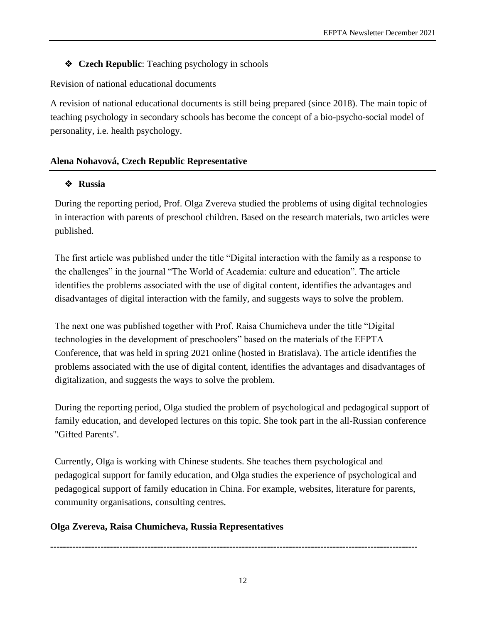#### ❖ **Czech Republic**: Teaching psychology in schools

Revision of national educational documents

A revision of national educational documents is still being prepared (since 2018). The main topic of teaching psychology in secondary schools has become the concept of a bio-psycho-social model of personality, i.e. health psychology.

#### **Alena Nohavová, Czech Republic Representative**

#### ❖ **Russia**

During the reporting period, Prof. Olga Zvereva studied the problems of using digital technologies in interaction with parents of preschool children. Based on the research materials, two articles were published.

The first article was published under the title "Digital interaction with the family as a response to the challenges" in the journal "The World of Academia: culture and education". The article identifies the problems associated with the use of digital content, identifies the advantages and disadvantages of digital interaction with the family, and suggests ways to solve the problem.

The next one was published together with Prof. Raisa Chumicheva under the title "Digital technologies in the development of preschoolers" based on the materials of the EFPTA Conference, that was held in spring 2021 online (hosted in Bratislava). The article identifies the problems associated with the use of digital content, identifies the advantages and disadvantages of digitalization, and suggests the ways to solve the problem.

During the reporting period, Olga studied the problem of psychological and pedagogical support of family education, and developed lectures on this topic. She took part in the all-Russian conference "Gifted Parents".

Currently, Olga is working with Chinese students. She teaches them psychological and pedagogical support for family education, and Olga studies the experience of psychological and pedagogical support of family education in China. For example, websites, literature for parents, community organisations, consulting centres.

#### **Olga Zvereva, Raisa Chumicheva, Russia Representatives**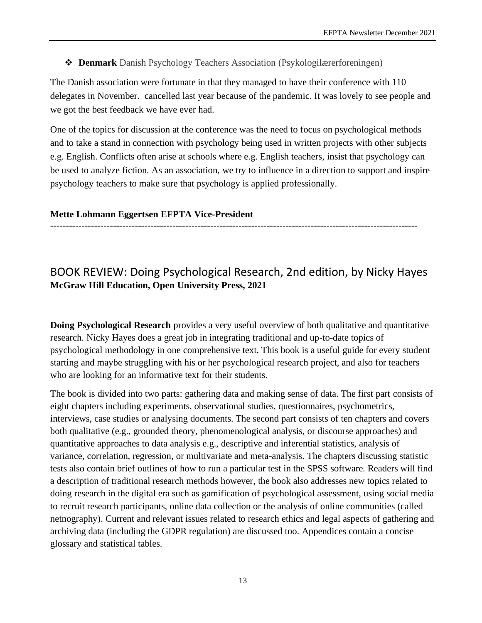❖ **Denmark** Danish Psychology Teachers Association (Psykologilærerforeningen)

The Danish association were fortunate in that they managed to have their conference with 110 delegates in November. cancelled last year because of the pandemic. It was lovely to see people and we got the best feedback we have ever had.

One of the topics for discussion at the conference was the need to focus on psychological methods and to take a stand in connection with psychology being used in written projects with other subjects e.g. English. Conflicts often arise at schools where e.g. English teachers, insist that psychology can be used to analyze fiction. As an association, we try to influence in a direction to support and inspire psychology teachers to make sure that psychology is applied professionally.

#### **Mette Lohmann Eggertsen EFPTA Vice-President**

#### ---------------------------------------------------------------------------------------------------------------------

### <span id="page-12-0"></span>BOOK REVIEW: Doing Psychological Research, 2nd edition, by Nicky Hayes **McGraw Hill Education, Open University Press, 2021**

**Doing Psychological Research** provides a very useful overview of both qualitative and quantitative research. Nicky Hayes does a great job in integrating traditional and up-to-date topics of psychological methodology in one comprehensive text. This book is a useful guide for every student starting and maybe struggling with his or her psychological research project, and also for teachers who are looking for an informative text for their students.

The book is divided into two parts: gathering data and making sense of data. The first part consists of eight chapters including experiments, observational studies, questionnaires, psychometrics, interviews, case studies or analysing documents. The second part consists of ten chapters and covers both qualitative (e.g., grounded theory, phenomenological analysis, or discourse approaches) and quantitative approaches to data analysis e.g., descriptive and inferential statistics, analysis of variance, correlation, regression, or multivariate and meta-analysis. The chapters discussing statistic tests also contain brief outlines of how to run a particular test in the SPSS software. Readers will find a description of traditional research methods however, the book also addresses new topics related to doing research in the digital era such as gamification of psychological assessment, using social media to recruit research participants, online data collection or the analysis of online communities (called netnography). Current and relevant issues related to research ethics and legal aspects of gathering and archiving data (including the GDPR regulation) are discussed too. Appendices contain a concise glossary and statistical tables.